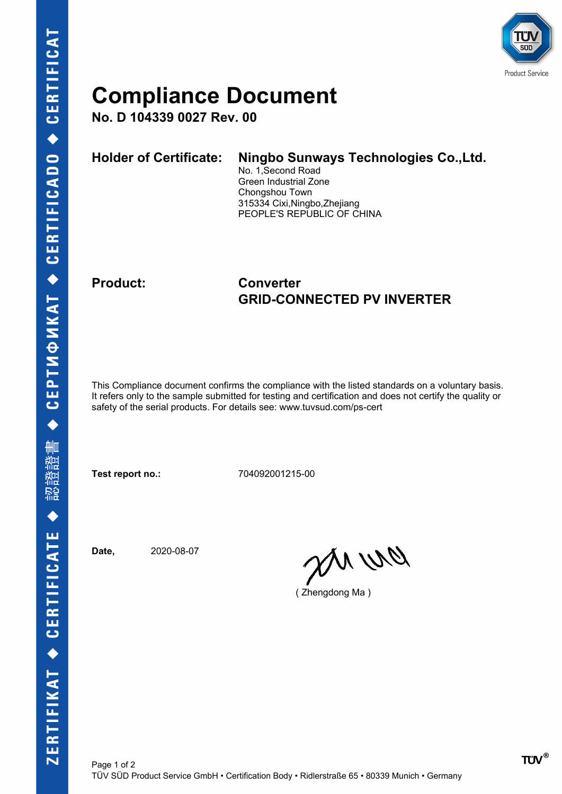

## **Compliance Document**

**No. D 104339 0027 Rev. 00**

| <b>Holder of Certificate:</b> | Ningbo Sunways Technologies Co., Ltd.<br>No. 1, Second Road<br>Green Industrial Zone<br>Chongshou Town<br>315334 Cixi, Ningbo, Zhejiang |
|-------------------------------|-----------------------------------------------------------------------------------------------------------------------------------------|
|                               | PEOPLE'S REPUBLIC OF CHINA                                                                                                              |

### **Product: Converter GRID-CONNECTED PV INVERTER**

This Compliance document confirms the compliance with the listed standards on a voluntary basis. It refers only to the sample submitted for testing and certification and does not certify the quality or safety of the serial products. For details see: www.tuvsud.com/ps-cert

**Test report no.:** 704092001215-00

**Date,** 2020-08-07

DN WQ

( Zhengdong Ma )